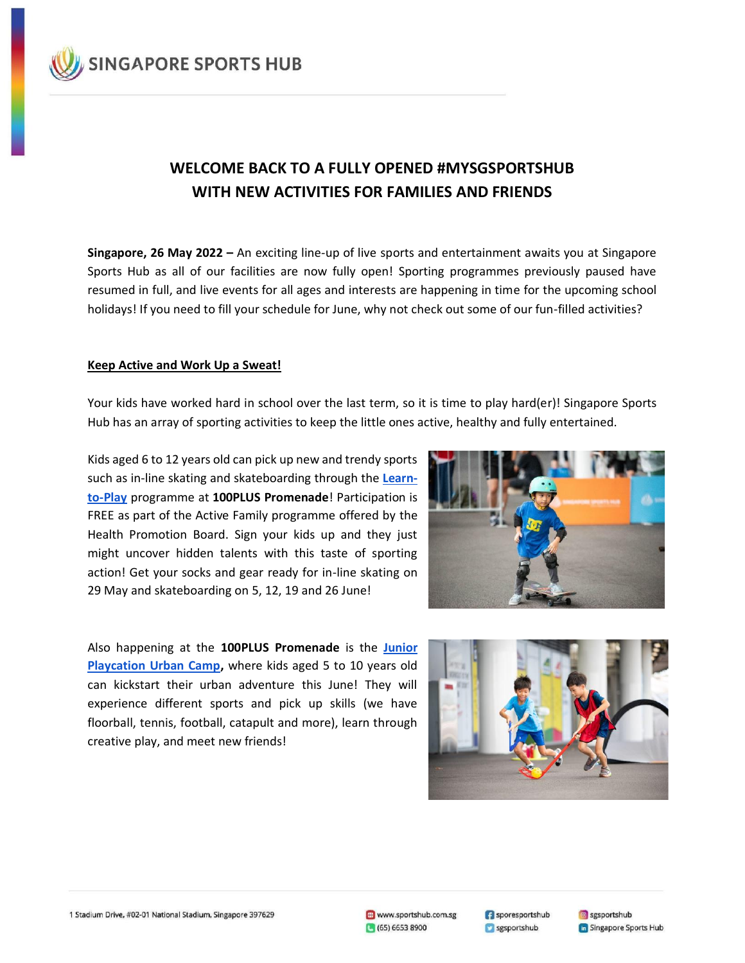

# **WELCOME BACK TO A FULLY OPENED #MYSGSPORTSHUB WITH NEW ACTIVITIES FOR FAMILIES AND FRIENDS**

**Singapore, 26 May 2022 –** An exciting line-up of live sports and entertainment awaits you at Singapore Sports Hub as all of our facilities are now fully open! Sporting programmes previously paused have resumed in full, and live events for all ages and interests are happening in time for the upcoming school holidays! If you need to fill your schedule for June, why not check out some of our fun-filled activities?

### **Keep Active and Work Up a Sweat!**

Your kids have worked hard in school over the last term, so it is time to play hard(er)! Singapore Sports Hub has an array of sporting activities to keep the little ones active, healthy and fully entertained.

Kids aged 6 to 12 years old can pick up new and trendy sports such as in-line skating and skateboarding through the **[Learn](https://www.sportshub.com.sg/learn-to-play)[to-Play](https://www.sportshub.com.sg/learn-to-play)** programme at **100PLUS Promenade**! Participation is FREE as part of the Active Family programme offered by the Health Promotion Board. Sign your kids up and they just might uncover hidden talents with this taste of sporting action! Get your socks and gear ready for in-line skating on 29 May and skateboarding on 5, 12, 19 and 26 June!

Also happening at the **100PLUS Promenade** is the **[Junior](https://www.sportshub.com.sg/junior-playcation-urban-camp)  [Playcation Urban Camp,](https://www.sportshub.com.sg/junior-playcation-urban-camp)** where kids aged 5 to 10 years old can kickstart their urban adventure this June! They will experience different sports and pick up skills (we have floorball, tennis, football, catapult and more), learn through creative play, and meet new friends!



1 Stadium Drive, #02-01 National Stadium, Singapore 397629

www.sportshub.com.sg (65) 6653 8900

Sporesportshub sgsportshub

sgsportshub **G** Singapore Sports Hub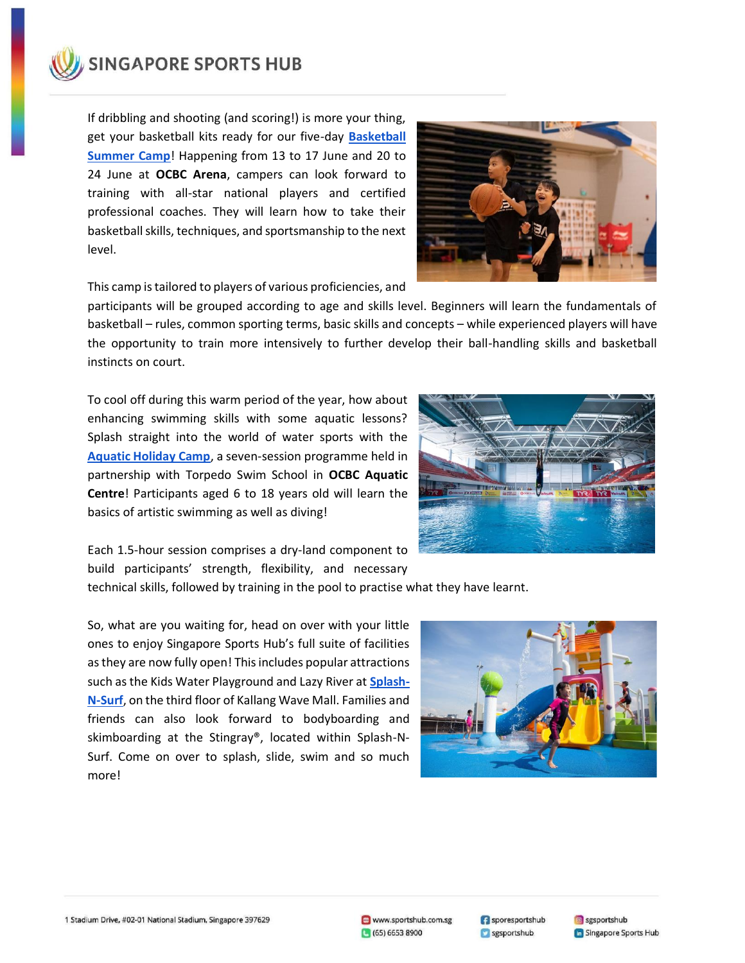

If dribbling and shooting (and scoring!) is more your thing, get your basketball kits ready for our five-day **[Basketball](https://www.sportshub.com.sg/basketball-academy-summer-camp)  [Summer Camp](https://www.sportshub.com.sg/basketball-academy-summer-camp)**! Happening from 13 to 17 June and 20 to 24 June at **OCBC Arena**, campers can look forward to training with all-star national players and certified professional coaches. They will learn how to take their basketball skills, techniques, and sportsmanship to the next level.



This camp istailored to players of various proficiencies, and

participants will be grouped according to age and skills level. Beginners will learn the fundamentals of basketball – rules, common sporting terms, basic skills and concepts – while experienced players will have the opportunity to train more intensively to further develop their ball-handling skills and basketball instincts on court.

To cool off during this warm period of the year, how about enhancing swimming skills with some aquatic lessons? Splash straight into the world of water sports with the **[Aquatic Holiday Camp](https://www.sportshub.com.sg/aquatic-holiday-camp)**, a seven-session programme held in partnership with Torpedo Swim School in **OCBC Aquatic Centre**! Participants aged 6 to 18 years old will learn the basics of artistic swimming as well as diving!



Each 1.5-hour session comprises a dry-land component to build participants' strength, flexibility, and necessary

technical skills, followed by training in the pool to practise what they have learnt.

So, what are you waiting for, head on over with your little ones to enjoy Singapore Sports Hub's full suite of facilities as they are now fully open! This includes popular attractions such as the Kids Water Playground and Lazy River at **[Splash-](https://www.sportshub.com.sg/splash-n-surf)[N-Surf](https://www.sportshub.com.sg/splash-n-surf)**, on the third floor of Kallang Wave Mall. Families and friends can also look forward to bodyboarding and skimboarding at the Stingray®, located within Splash-N-Surf. Come on over to splash, slide, swim and so much more!



1 Stadium Drive, #02-01 National Stadium, Singapore 397629

Sporesportshub sgsportshub

**8** sgsportshub **G** Singapore Sports Hub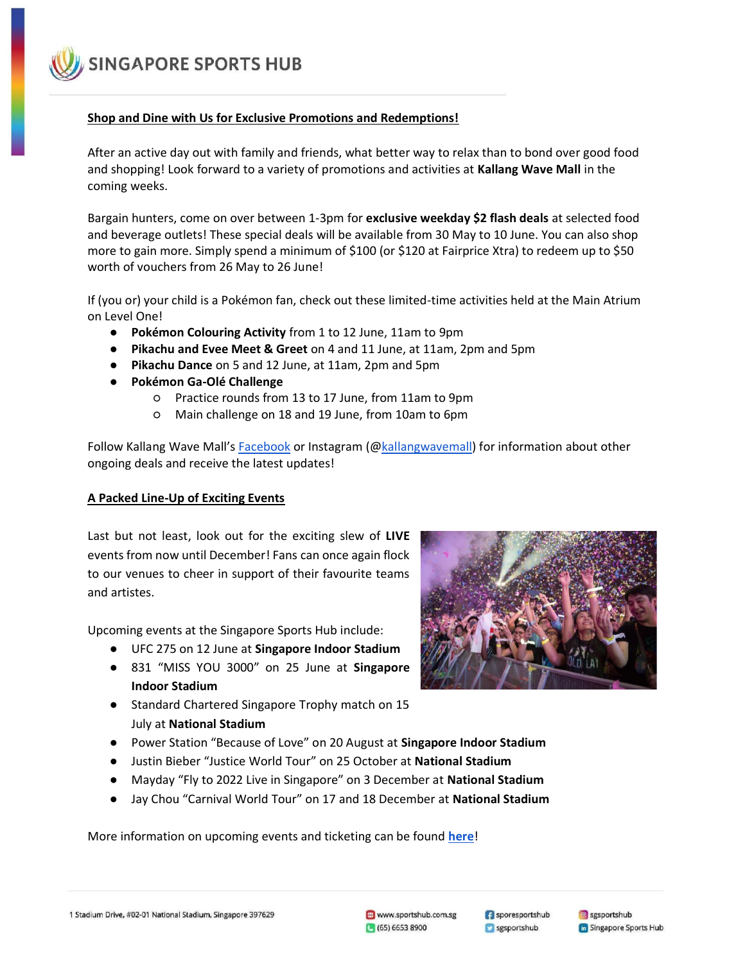**SINGAPORE SPORTS HUB** 

# **Shop and Dine with Us for Exclusive Promotions and Redemptions!**

After an active day out with family and friends, what better way to relax than to bond over good food and shopping! Look forward to a variety of promotions and activities at **Kallang Wave Mall** in the coming weeks.

Bargain hunters, come on over between 1-3pm for **exclusive weekday \$2 flash deals** at selected food and beverage outlets! These special deals will be available from 30 May to 10 June. You can also shop more to gain more. Simply spend a minimum of \$100 (or \$120 at Fairprice Xtra) to redeem up to \$50 worth of vouchers from 26 May to 26 June!

If (you or) your child is a Pokémon fan, check out these limited-time activities held at the Main Atrium on Level One!

- **Pokémon Colouring Activity** from 1 to 12 June, 11am to 9pm
- **Pikachu and Evee Meet & Greet** on 4 and 11 June, at 11am, 2pm and 5pm
- **Pikachu Dance** on 5 and 12 June, at 11am, 2pm and 5pm
- **Pokémon Ga-Olé Challenge** 
	- Practice rounds from 13 to 17 June, from 11am to 9pm
	- Main challenge on 18 and 19 June, from 10am to 6pm

Follow Kallang Wave Mall's [Facebook](https://www.facebook.com/kallangwavemall) or Instagram ([@kallangwavemall\)](https://www.instagram.com/kallangwavemall/) for information about other ongoing deals and receive the latest updates!

#### **A Packed Line-Up of Exciting Events**

Last but not least, look out for the exciting slew of **LIVE**  events from now until December! Fans can once again flock to our venues to cheer in support of their favourite teams and artistes.

Upcoming events at the Singapore Sports Hub include:

- UFC 275 on 12 June at **Singapore Indoor Stadium**
- 831 "MISS YOU 3000" on 25 June at **Singapore Indoor Stadium**
- Standard Chartered Singapore Trophy match on 15 July at **National Stadium**
- Power Station "Because of Love" on 20 August at **Singapore Indoor Stadium**
- Justin Bieber "Justice World Tour" on 25 October at **National Stadium**
- Mayday "Fly to 2022 Live in Singapore" on 3 December at **National Stadium**
- Jay Chou "Carnival World Tour" on 17 and 18 December at **National Stadium**

More information on upcoming events and ticketing can be found **[here](https://www.sportshub.com.sg/events?month=all)**!



1 Stadium Drive, #02-01 National Stadium, Singapore 397629

Sporesportshub sgsportshub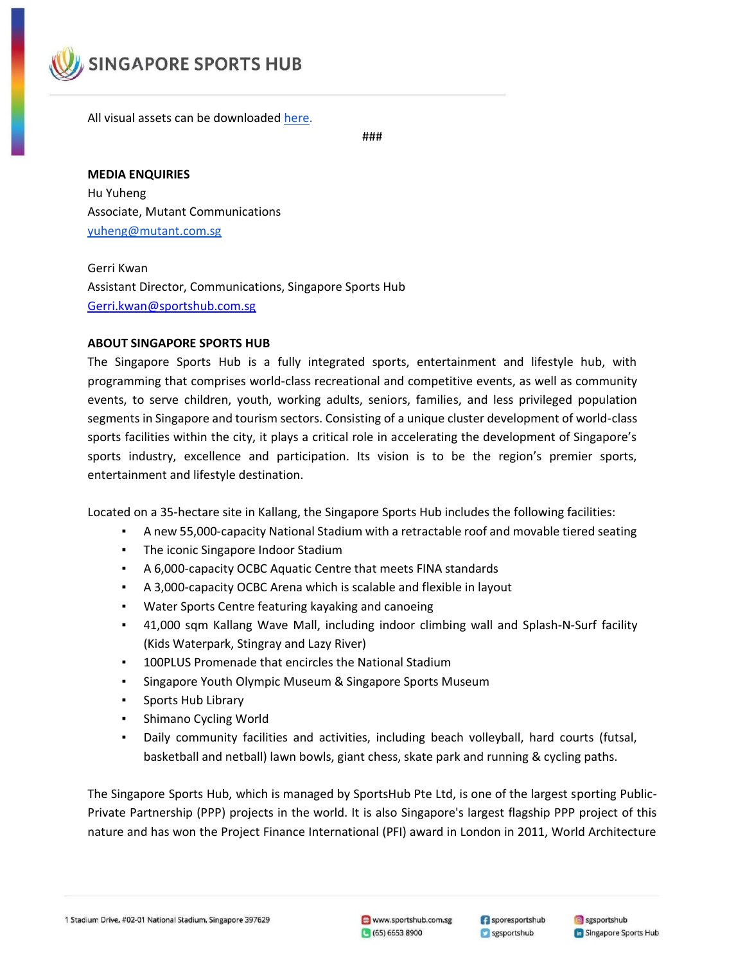

All visual assets can be downloaded [here.](https://drive.google.com/drive/folders/1nrTWc-iwEcdhPgqEv8qu2jxH793B8E-_?usp=sharing)

###

# **MEDIA ENQUIRIES**

Hu Yuheng Associate, Mutant Communications yuheng@mutant.com.sg

# Gerri Kwan Assistant Director, Communications, Singapore Sports Hub [Gerri.kwan@sportshub.com.sg](mailto:Gerri.kwan@sportshub.com.sg)

#### **ABOUT SINGAPORE SPORTS HUB**

The Singapore Sports Hub is a fully integrated sports, entertainment and lifestyle hub, with programming that comprises world-class recreational and competitive events, as well as community events, to serve children, youth, working adults, seniors, families, and less privileged population segments in Singapore and tourism sectors. Consisting of a unique cluster development of world-class sports facilities within the city, it plays a critical role in accelerating the development of Singapore's sports industry, excellence and participation. Its vision is to be the region's premier sports, entertainment and lifestyle destination.

Located on a 35-hectare site in Kallang, the Singapore Sports Hub includes the following facilities:

- A new 55,000-capacity National Stadium with a retractable roof and movable tiered seating
- The iconic Singapore Indoor Stadium
- A 6,000-capacity OCBC Aquatic Centre that meets FINA standards
- A 3,000-capacity OCBC Arena which is scalable and flexible in layout
- Water Sports Centre featuring kayaking and canoeing
- 41,000 sqm Kallang Wave Mall, including indoor climbing wall and Splash-N-Surf facility (Kids Waterpark, Stingray and Lazy River)
- 100PLUS Promenade that encircles the National Stadium
- Singapore Youth Olympic Museum & Singapore Sports Museum
- Sports Hub Library
- Shimano Cycling World
- Daily community facilities and activities, including beach volleyball, hard courts (futsal, basketball and netball) lawn bowls, giant chess, skate park and running & cycling paths.

The Singapore Sports Hub, which is managed by SportsHub Pte Ltd, is one of the largest sporting Public-Private Partnership (PPP) projects in the world. It is also Singapore's largest flagship PPP project of this nature and has won the Project Finance International (PFI) award in London in 2011, World Architecture

1 Stadium Drive, #02-01 National Stadium, Singapore 397629